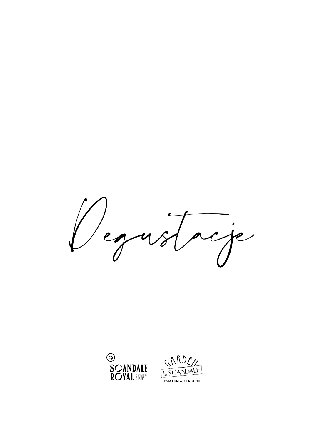



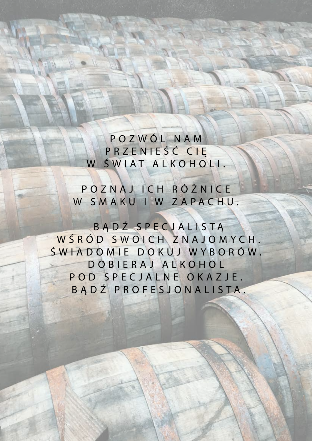POZWÓL NAM PRZENIEŚĆ CIĘ W ŚWIAT ALKOHOLI.

POZNAJ ICH RÓŻNICE W SMAKU I W ZAPACHU.

BĄDŹ SPECJALISTĄ WŚRÓD SWOICH ZNAJOMYCH. ŚWIADOMIE DOKUJ WYBORÓW. DOBIERAJ ALKOHOL POD SPECJALNE OKAZJE. BĄDŹ PROFESJONALISTA.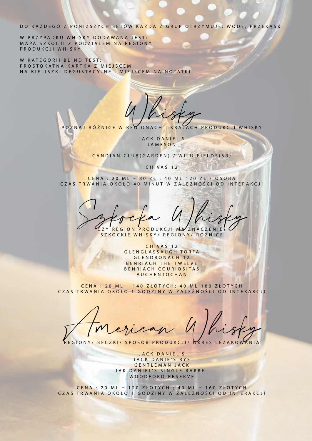DO KAŻDEGO Z PONIŻSZYCH SETÓW KAŻDA Z GRUP OTRZYMUJE: WODĘ, PRZEKĄSKI

W PRZYPADKU WHISKY DODAWANA JEST: MAPA SZKOCJI Z PODZIAŁEM NA REGIONY PRODUKCJI WHISKY

W KATEGORII BLIND TEST: PROSTOKĄTNA KARTKA Z MIEJSCEM NA KIELISZKI DEGUSTACYJNE I MIEJSCEM NA NOTATKI

POZNAJ RÓŻNICE W REGIONACH I KRAJACH PRODUKCJI WHISKY

JACK DANIEL'S JAMESON

CANDIAN CLUB(GARDEN) / WILD FIELDS(SR)

CHIVAS 12

CENA : 20 ML – 80 ZŁ ; 40 ML 120 ZŁ / OSOBA CZAS TRWANIA OKOŁO 40 MINUT W ZALEŻNOŚCI OD INTERAKCJI

Szkocka Whisky ZY REGION PRODUKCJI MA ZNACZENIE

SZKOCKIE WHISKY/ REGIONY/ RÓŻNICE

CHIVAS 12 GLENGLASSAUGH TORFA GLENDRONACH 12 BENRIACH THE TWELVE BENRIACH COURIOSITAS AUCHENTOCHAN

**Clay** 

CENA : 20 ML – 140 ZŁOTYCH; 40 ML 180 ZŁOTYCH CZAS TRWANIA OKOŁO 1 GODZINY W ZALEŻNOŚCI OD INTERAKCJI

REGIONY/ BECZKI/ SPOSÓB PRODUKCJI/ OKRES LEŻAKOWANIA

JACK DANIEL'S JACK DANIE'S RYE GENTLEMAN JACK JAK DANIEL'S SINGLE BARREL WOODFORD RESERVE

CENA : 20 ML – 120 ZŁOTYCH ; 40 ML – 160 ZŁOTYCH CZAS TRWANIA OKOŁO 1 GODZINY W ZALEŻNOŚCI OD INTERAKCJI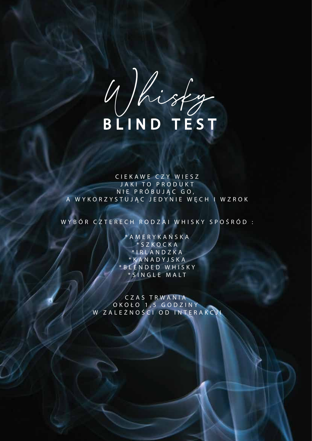Uhisty

CIEKAWE CZY WIESZ JAKI TO PRODUKT NIE PRÓBUJAC GO, A WYKORZYSTUJĄC JEDYNIE WĘCH I WZROK

WYBÓR CZTERECH RODZAI WHISKY SPOŚRÓD :

AMERYKAŃSKA \*SZKOCKA \*IRLANDZKA \* KANADYJSKA \* BLENDED WHISKY \*SINGLE MALT

CZAS TRWANIA OKOŁO 1,5 GODZINY W ZALEŻNOŚCI OD INTERAKCJI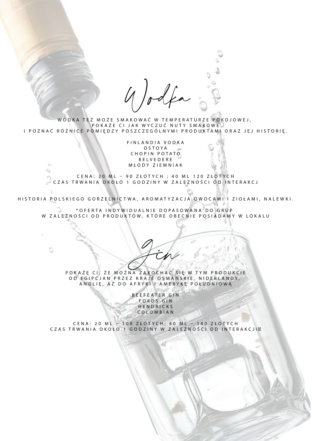Wodka

 $\circ$ 

WÓDKA TEŻ MOŻE SMAKOWAĆ W TEMPERATURZE POKOJOWEJ, POKAŻE CI JAK WYCZUĆ NUTY SMAKOWE I POZNAĆ RÓŻNICE POMIĘDZY POSZCZEGÓLNYMI PRODUKTAMI ORAZ JEJ HISTORIĘ.

> FINLANDIA VODKA OSTOYA CHOPIN POTATO BELVEDERE MŁODY ZIEMNIAK

CENA: 20 ML – 90 ZŁOTYCH ; 40 ML 120 ZŁOTYCH CZAS TRWANIA OKOŁO 1 GODZINY W ZALEŻNOŚCI OD INTERAKCJ

HISTORIA POLSKIEGO GORZELNICTWA, AROMATYZACJA OWOCAMI I ZIOŁAMI, NALEWKI.

\*OFERTA INDYWIDUALNIE DOPASOWANA DO GRUP W ZALEŻNOŚCI OD PRODUKTÓW, KTÓRE OBECNIE POSIADAMY W LOKALU

> POKAŻĘ CI, ŻE MOŻNA ZAKOCHAĆ SIĘ W TYM PRODUKCIE OD EGIPCJAN PRZEZ KRAJE OSMAŃSKIE, NIDERLANDY, ANGLIĘ, AŻ DO AFRYKI I AMERYKĘ POŁUDNIOWĄ

> > BEEFEATER GIN FORDS GIN HENDRICKS COLOMBIAN

CENA: 20 ML – 100 ZŁOTYCH; 40 ML – 140 ZŁOTYCH CZAS TRWANIA OKOŁO 1 GODZINY W ZALEŻNOŚCI OD INTERAKCJI